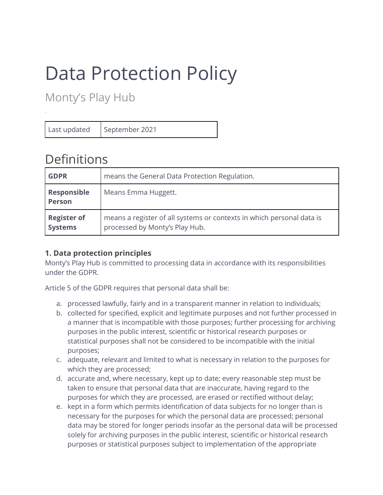# Data Protection Policy

Monty's Play Hub

Last updated | September 2021

*.*

# Definitions

| <b>GDPR</b>                          | means the General Data Protection Regulation.                                                           |
|--------------------------------------|---------------------------------------------------------------------------------------------------------|
| <b>Responsible</b><br><b>Person</b>  | Means Emma Huggett.                                                                                     |
| <b>Register of</b><br><b>Systems</b> | means a register of all systems or contexts in which personal data is<br>processed by Monty's Play Hub. |

# **1. Data protection principles**

Monty's Play Hub is committed to processing data in accordance with its responsibilities under the GDPR.

Article 5 of the GDPR requires that personal data shall be:

- a. processed lawfully, fairly and in a transparent manner in relation to individuals;
- b. collected for specified, explicit and legitimate purposes and not further processed in a manner that is incompatible with those purposes; further processing for archiving purposes in the public interest, scientific or historical research purposes or statistical purposes shall not be considered to be incompatible with the initial purposes;
- c. adequate, relevant and limited to what is necessary in relation to the purposes for which they are processed;
- d. accurate and, where necessary, kept up to date; every reasonable step must be taken to ensure that personal data that are inaccurate, having regard to the purposes for which they are processed, are erased or rectified without delay;
- e. kept in a form which permits identification of data subjects for no longer than is necessary for the purposes for which the personal data are processed; personal data may be stored for longer periods insofar as the personal data will be processed solely for archiving purposes in the public interest, scientific or historical research purposes or statistical purposes subject to implementation of the appropriate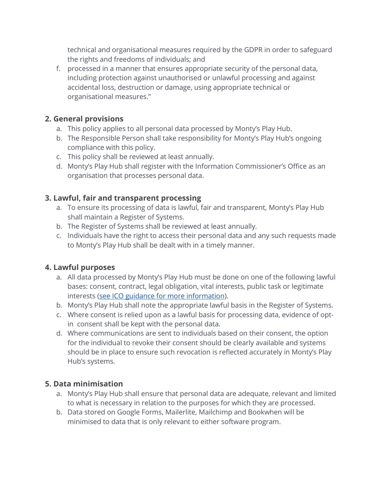technical and organisational measures required by the GDPR in order to safeguard the rights and freedoms of individuals; and

f. processed in a manner that ensures appropriate security of the personal data, including protection against unauthorised or unlawful processing and against accidental loss, destruction or damage, using appropriate technical or organisational measures."

#### **2. General provisions**

- a. This policy applies to all personal data processed by Monty's Play Hub.
- b. The Responsible Person shall take responsibility for Monty's Play Hub's ongoing compliance with this policy.
- c. This policy shall be reviewed at least annually.
- d. Monty's Play Hub shall register with the Information Commissioner's Office as an organisation that processes personal data.

#### **3. Lawful, fair and transparent processing**

- a. To ensure its processing of data is lawful, fair and transparent, Monty's Play Hub shall maintain a Register of Systems.
- b. The Register of Systems shall be reviewed at least annually.
- c. Individuals have the right to access their personal data and any such requests made to Monty's Play Hub shall be dealt with in a timely manner.

#### **4. Lawful purposes**

- a. All data processed by Monty's Play Hub must be done on one of the following lawful bases: consent, contract, legal obligation, vital interests, public task or legitimate interests [\(see ICO guidance for more information\)](https://ico.org.uk/for-organisations/guide-to-the-general-data-protection-regulation-gdpr/lawful-basis-for-processing/).
- b. Monty's Play Hub shall note the appropriate lawful basis in the Register of Systems.
- c. Where consent is relied upon as a lawful basis for processing data, evidence of optin consent shall be kept with the personal data.
- d. Where communications are sent to individuals based on their consent, the option for the individual to revoke their consent should be clearly available and systems should be in place to ensure such revocation is reflected accurately in Monty's Play Hub's systems.

#### **5. Data minimisation**

- a. Monty's Play Hub shall ensure that personal data are adequate, relevant and limited to what is necessary in relation to the purposes for which they are processed.
- b. Data stored on Google Forms, Mailerlite, Mailchimp and Bookwhen will be minimised to data that is only relevant to either software program.